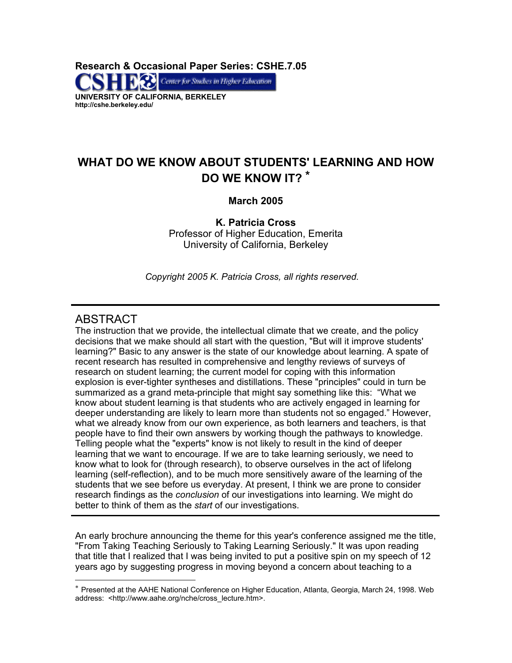**Research & Occasional Paper Series: CSHE.7.05**  Center for Studies in Higher Education **UNIVERSITY OF CALIFORNIA, BERKELEY http://cshe.berkeley.edu/** 

## **WHAT DO WE KNOW ABOUT STUDENTS' LEARNING AND HOW DO WE KNOW IT? [\\*](#page-0-0)**

## **March 2005**

**K. Patricia Cross**  Professor of Higher Education, Emerita University of California, Berkeley

*Copyright 2005 K. Patricia Cross, all rights reserved.* 

## ABSTRACT

l

The instruction that we provide, the intellectual climate that we create, and the policy decisions that we make should all start with the question, "But will it improve students' learning?" Basic to any answer is the state of our knowledge about learning. A spate of recent research has resulted in comprehensive and lengthy reviews of surveys of research on student learning; the current model for coping with this information explosion is ever-tighter syntheses and distillations. These "principles" could in turn be summarized as a grand meta-principle that might say something like this: "What we know about student learning is that students who are actively engaged in learning for deeper understanding are likely to learn more than students not so engaged." However, what we already know from our own experience, as both learners and teachers, is that people have to find their own answers by working though the pathways to knowledge. Telling people what the "experts" know is not likely to result in the kind of deeper learning that we want to encourage. If we are to take learning seriously, we need to know what to look for (through research), to observe ourselves in the act of lifelong learning (self-reflection), and to be much more sensitively aware of the learning of the students that we see before us everyday. At present, I think we are prone to consider research findings as the *conclusion* of our investigations into learning. We might do better to think of them as the *start* of our investigations.

An early brochure announcing the theme for this year's conference assigned me the title, "From Taking Teaching Seriously to Taking Learning Seriously." It was upon reading that title that I realized that I was being invited to put a positive spin on my speech of 12 years ago by suggesting progress in moving beyond a concern about teaching to a

<span id="page-0-0"></span><sup>\*</sup> Presented at the AAHE National Conference on Higher Education, Atlanta, Georgia, March 24, 1998. Web address: <http://www.aahe.org/nche/cross\_lecture.htm>.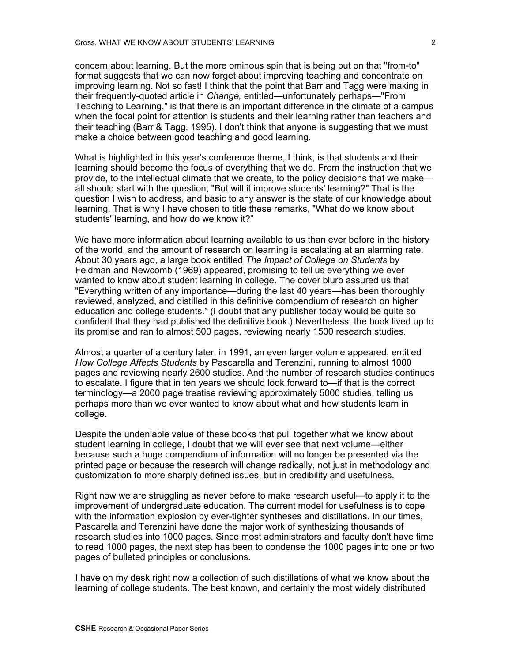concern about learning. But the more ominous spin that is being put on that "from-to" format suggests that we can now forget about improving teaching and concentrate on improving learning. Not so fast! I think that the point that Barr and Tagg were making in their frequently-quoted article in *Change,* entitled—unfortunately perhaps—"From Teaching to Learning," is that there is an important difference in the climate of a campus when the focal point for attention is students and their learning rather than teachers and their teaching (Barr & Tagg, 1995). I don't think that anyone is suggesting that we must make a choice between good teaching and good learning.

What is highlighted in this year's conference theme, I think, is that students and their learning should become the focus of everything that we do. From the instruction that we provide, to the intellectual climate that we create, to the policy decisions that we make all should start with the question, "But will it improve students' learning?" That is the question I wish to address, and basic to any answer is the state of our knowledge about learning. That is why I have chosen to title these remarks, "What do we know about students' learning, and how do we know it?"

We have more information about learning available to us than ever before in the history of the world, and the amount of research on learning is escalating at an alarming rate. About 30 years ago, a large book entitled *The Impact of College on Students* by Feldman and Newcomb (1969) appeared, promising to tell us everything we ever wanted to know about student learning in college. The cover blurb assured us that "Everything written of any importance—during the last 40 years—has been thoroughly reviewed, analyzed, and distilled in this definitive compendium of research on higher education and college students." (I doubt that any publisher today would be quite so confident that they had published the definitive book.) Nevertheless, the book lived up to its promise and ran to almost 500 pages, reviewing nearly 1500 research studies.

Almost a quarter of a century later, in 1991, an even larger volume appeared, entitled *How College Affects Students* by Pascarella and Terenzini, running to almost 1000 pages and reviewing nearly 2600 studies. And the number of research studies continues to escalate. I figure that in ten years we should look forward to—if that is the correct terminology—a 2000 page treatise reviewing approximately 5000 studies, telling us perhaps more than we ever wanted to know about what and how students learn in college.

Despite the undeniable value of these books that pull together what we know about student learning in college, I doubt that we will ever see that next volume—either because such a huge compendium of information will no longer be presented via the printed page or because the research will change radically, not just in methodology and customization to more sharply defined issues, but in credibility and usefulness.

Right now we are struggling as never before to make research useful—to apply it to the improvement of undergraduate education. The current model for usefulness is to cope with the information explosion by ever-tighter syntheses and distillations. In our times, Pascarella and Terenzini have done the major work of synthesizing thousands of research studies into 1000 pages. Since most administrators and faculty don't have time to read 1000 pages, the next step has been to condense the 1000 pages into one or two pages of bulleted principles or conclusions.

I have on my desk right now a collection of such distillations of what we know about the learning of college students. The best known, and certainly the most widely distributed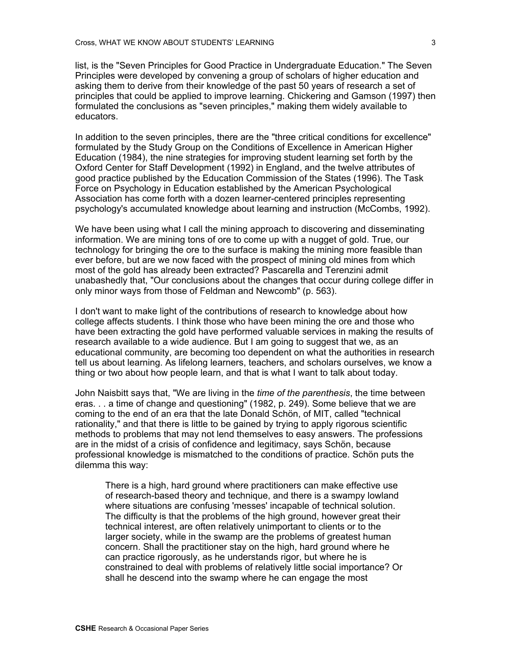list, is the "Seven Principles for Good Practice in Undergraduate Education." The Seven Principles were developed by convening a group of scholars of higher education and asking them to derive from their knowledge of the past 50 years of research a set of principles that could be applied to improve learning. Chickering and Gamson (1997) then formulated the conclusions as "seven principles," making them widely available to educators.

In addition to the seven principles, there are the "three critical conditions for excellence" formulated by the Study Group on the Conditions of Excellence in American Higher Education (1984), the nine strategies for improving student learning set forth by the Oxford Center for Staff Development (1992) in England, and the twelve attributes of good practice published by the Education Commission of the States (1996). The Task Force on Psychology in Education established by the American Psychological Association has come forth with a dozen learner-centered principles representing psychology's accumulated knowledge about learning and instruction (McCombs, 1992).

We have been using what I call the mining approach to discovering and disseminating information. We are mining tons of ore to come up with a nugget of gold. True, our technology for bringing the ore to the surface is making the mining more feasible than ever before, but are we now faced with the prospect of mining old mines from which most of the gold has already been extracted? Pascarella and Terenzini admit unabashedly that, "Our conclusions about the changes that occur during college differ in only minor ways from those of Feldman and Newcomb" (p. 563).

I don't want to make light of the contributions of research to knowledge about how college affects students. I think those who have been mining the ore and those who have been extracting the gold have performed valuable services in making the results of research available to a wide audience. But I am going to suggest that we, as an educational community, are becoming too dependent on what the authorities in research tell us about learning. As lifelong learners, teachers, and scholars ourselves, we know a thing or two about how people learn, and that is what I want to talk about today.

John Naisbitt says that, "We are living in the *time of the parenthesis*, the time between eras. . . a time of change and questioning" (1982, p. 249). Some believe that we are coming to the end of an era that the late Donald Schön, of MIT, called "technical rationality," and that there is little to be gained by trying to apply rigorous scientific methods to problems that may not lend themselves to easy answers. The professions are in the midst of a crisis of confidence and legitimacy, says Schön, because professional knowledge is mismatched to the conditions of practice. Schön puts the dilemma this way:

There is a high, hard ground where practitioners can make effective use of research-based theory and technique, and there is a swampy lowland where situations are confusing 'messes' incapable of technical solution. The difficulty is that the problems of the high ground, however great their technical interest, are often relatively unimportant to clients or to the larger society, while in the swamp are the problems of greatest human concern. Shall the practitioner stay on the high, hard ground where he can practice rigorously, as he understands rigor, but where he is constrained to deal with problems of relatively little social importance? Or shall he descend into the swamp where he can engage the most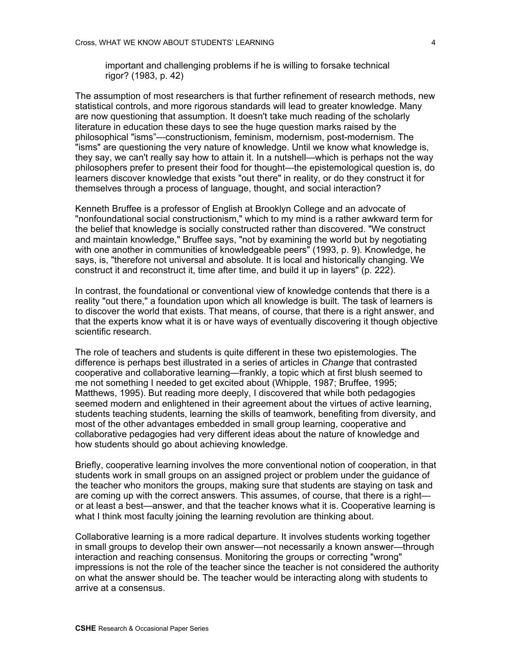important and challenging problems if he is willing to forsake technical rigor? (1983, p. 42)

The assumption of most researchers is that further refinement of research methods, new statistical controls, and more rigorous standards will lead to greater knowledge. Many are now questioning that assumption. It doesn't take much reading of the scholarly literature in education these days to see the huge question marks raised by the philosophical "isms"—constructionism, feminism, modernism, post-modernism. The "isms" are questioning the very nature of knowledge. Until we know what knowledge is, they say, we can't really say how to attain it. In a nutshell—which is perhaps not the way philosophers prefer to present their food for thought—the epistemological question is, do learners discover knowledge that exists "out there" in reality, or do they construct it for themselves through a process of language, thought, and social interaction?

Kenneth Bruffee is a professor of English at Brooklyn College and an advocate of "nonfoundational social constructionism," which to my mind is a rather awkward term for the belief that knowledge is socially constructed rather than discovered. "We construct and maintain knowledge," Bruffee says, "not by examining the world but by negotiating with one another in communities of knowledgeable peers" (1993, p. 9). Knowledge, he says, is, "therefore not universal and absolute. It is local and historically changing. We construct it and reconstruct it, time after time, and build it up in layers" (p. 222).

In contrast, the foundational or conventional view of knowledge contends that there is a reality "out there," a foundation upon which all knowledge is built. The task of learners is to discover the world that exists. That means, of course, that there is a right answer, and that the experts know what it is or have ways of eventually discovering it though objective scientific research.

The role of teachers and students is quite different in these two epistemologies. The difference is perhaps best illustrated in a series of articles in *Change* that contrasted cooperative and collaborative learning—frankly, a topic which at first blush seemed to me not something I needed to get excited about (Whipple, 1987; Bruffee, 1995; Matthews, 1995). But reading more deeply, I discovered that while both pedagogies seemed modern and enlightened in their agreement about the virtues of active learning, students teaching students, learning the skills of teamwork, benefiting from diversity, and most of the other advantages embedded in small group learning, cooperative and collaborative pedagogies had very different ideas about the nature of knowledge and how students should go about achieving knowledge.

Briefly, cooperative learning involves the more conventional notion of cooperation, in that students work in small groups on an assigned project or problem under the guidance of the teacher who monitors the groups, making sure that students are staying on task and are coming up with the correct answers. This assumes, of course, that there is a right or at least a best—answer, and that the teacher knows what it is. Cooperative learning is what I think most faculty joining the learning revolution are thinking about.

Collaborative learning is a more radical departure. It involves students working together in small groups to develop their own answer—not necessarily a known answer—through interaction and reaching consensus. Monitoring the groups or correcting "wrong" impressions is not the role of the teacher since the teacher is not considered the authority on what the answer should be. The teacher would be interacting along with students to arrive at a consensus.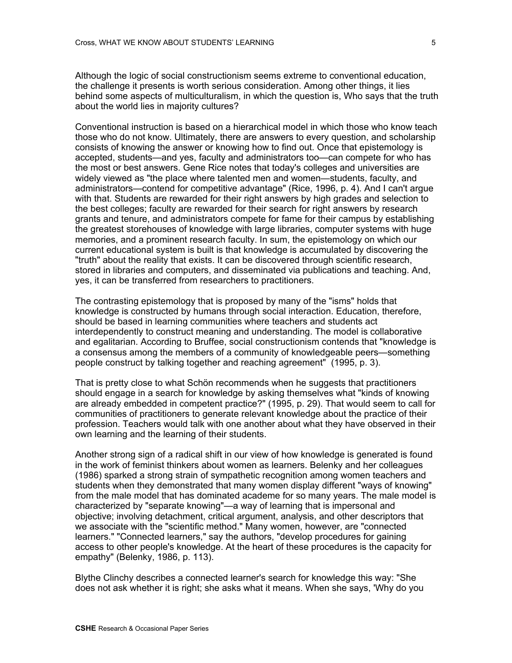Although the logic of social constructionism seems extreme to conventional education, the challenge it presents is worth serious consideration. Among other things, it lies behind some aspects of multiculturalism, in which the question is, Who says that the truth about the world lies in majority cultures?

Conventional instruction is based on a hierarchical model in which those who know teach those who do not know. Ultimately, there are answers to every question, and scholarship consists of knowing the answer or knowing how to find out. Once that epistemology is accepted, students—and yes, faculty and administrators too—can compete for who has the most or best answers. Gene Rice notes that today's colleges and universities are widely viewed as "the place where talented men and women—students, faculty, and administrators—contend for competitive advantage" (Rice, 1996, p. 4). And I can't argue with that. Students are rewarded for their right answers by high grades and selection to the best colleges; faculty are rewarded for their search for right answers by research grants and tenure, and administrators compete for fame for their campus by establishing the greatest storehouses of knowledge with large libraries, computer systems with huge memories, and a prominent research faculty. In sum, the epistemology on which our current educational system is built is that knowledge is accumulated by discovering the "truth" about the reality that exists. It can be discovered through scientific research, stored in libraries and computers, and disseminated via publications and teaching. And, yes, it can be transferred from researchers to practitioners.

The contrasting epistemology that is proposed by many of the "isms" holds that knowledge is constructed by humans through social interaction. Education, therefore, should be based in learning communities where teachers and students act interdependently to construct meaning and understanding. The model is collaborative and egalitarian. According to Bruffee, social constructionism contends that "knowledge is a consensus among the members of a community of knowledgeable peers—something people construct by talking together and reaching agreement" (1995, p. 3).

That is pretty close to what Schön recommends when he suggests that practitioners should engage in a search for knowledge by asking themselves what "kinds of knowing are already embedded in competent practice?" (1995, p. 29). That would seem to call for communities of practitioners to generate relevant knowledge about the practice of their profession. Teachers would talk with one another about what they have observed in their own learning and the learning of their students.

Another strong sign of a radical shift in our view of how knowledge is generated is found in the work of feminist thinkers about women as learners. Belenky and her colleagues (1986) sparked a strong strain of sympathetic recognition among women teachers and students when they demonstrated that many women display different "ways of knowing" from the male model that has dominated academe for so many years. The male model is characterized by "separate knowing"—a way of learning that is impersonal and objective; involving detachment, critical argument, analysis, and other descriptors that we associate with the "scientific method." Many women, however, are "connected learners." "Connected learners," say the authors, "develop procedures for gaining access to other people's knowledge. At the heart of these procedures is the capacity for empathy" (Belenky, 1986, p. 113).

Blythe Clinchy describes a connected learner's search for knowledge this way: "She does not ask whether it is right; she asks what it means. When she says, 'Why do you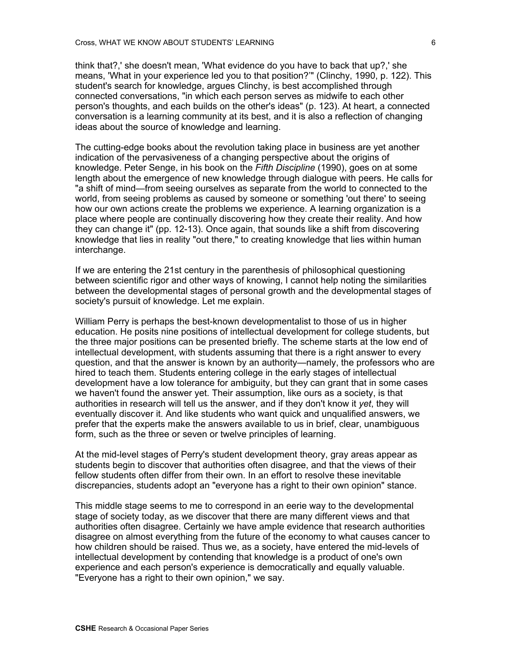think that?,' she doesn't mean, 'What evidence do you have to back that up?,' she means, 'What in your experience led you to that position?'" (Clinchy, 1990, p. 122). This student's search for knowledge, argues Clinchy, is best accomplished through connected conversations, "in which each person serves as midwife to each other person's thoughts, and each builds on the other's ideas" (p. 123). At heart, a connected conversation is a learning community at its best, and it is also a reflection of changing ideas about the source of knowledge and learning.

The cutting-edge books about the revolution taking place in business are yet another indication of the pervasiveness of a changing perspective about the origins of knowledge. Peter Senge, in his book on the *Fifth Discipline* (1990), goes on at some length about the emergence of new knowledge through dialogue with peers. He calls for "a shift of mind—from seeing ourselves as separate from the world to connected to the world, from seeing problems as caused by someone or something 'out there' to seeing how our own actions create the problems we experience. A learning organization is a place where people are continually discovering how they create their reality. And how they can change it" (pp. 12-13). Once again, that sounds like a shift from discovering knowledge that lies in reality "out there," to creating knowledge that lies within human interchange.

If we are entering the 21st century in the parenthesis of philosophical questioning between scientific rigor and other ways of knowing, I cannot help noting the similarities between the developmental stages of personal growth and the developmental stages of society's pursuit of knowledge. Let me explain.

William Perry is perhaps the best-known developmentalist to those of us in higher education. He posits nine positions of intellectual development for college students, but the three major positions can be presented briefly. The scheme starts at the low end of intellectual development, with students assuming that there is a right answer to every question, and that the answer is known by an authority—namely, the professors who are hired to teach them. Students entering college in the early stages of intellectual development have a low tolerance for ambiguity, but they can grant that in some cases we haven't found the answer yet. Their assumption, like ours as a society, is that authorities in research will tell us the answer, and if they don't know it *yet*, they will eventually discover it. And like students who want quick and unqualified answers, we prefer that the experts make the answers available to us in brief, clear, unambiguous form, such as the three or seven or twelve principles of learning.

At the mid-level stages of Perry's student development theory, gray areas appear as students begin to discover that authorities often disagree, and that the views of their fellow students often differ from their own. In an effort to resolve these inevitable discrepancies, students adopt an "everyone has a right to their own opinion" stance.

This middle stage seems to me to correspond in an eerie way to the developmental stage of society today, as we discover that there are many different views and that authorities often disagree. Certainly we have ample evidence that research authorities disagree on almost everything from the future of the economy to what causes cancer to how children should be raised. Thus we, as a society, have entered the mid-levels of intellectual development by contending that knowledge is a product of one's own experience and each person's experience is democratically and equally valuable. "Everyone has a right to their own opinion," we say.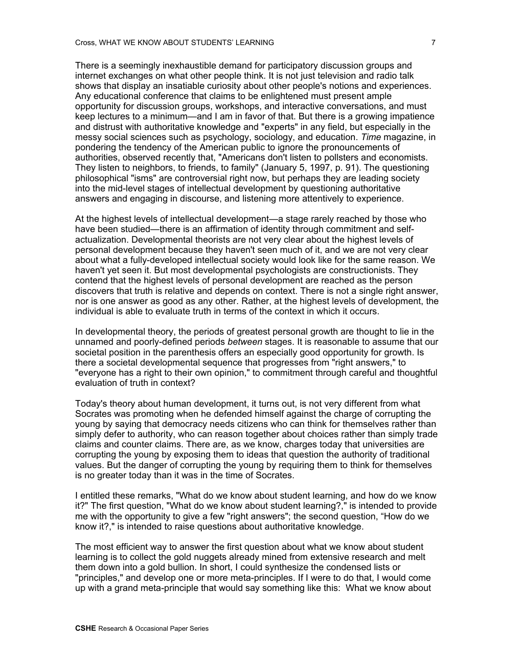There is a seemingly inexhaustible demand for participatory discussion groups and internet exchanges on what other people think. It is not just television and radio talk shows that display an insatiable curiosity about other people's notions and experiences. Any educational conference that claims to be enlightened must present ample opportunity for discussion groups, workshops, and interactive conversations, and must keep lectures to a minimum—and I am in favor of that. But there is a growing impatience and distrust with authoritative knowledge and "experts" in any field, but especially in the messy social sciences such as psychology, sociology, and education. *Time* magazine, in pondering the tendency of the American public to ignore the pronouncements of authorities, observed recently that, "Americans don't listen to pollsters and economists. They listen to neighbors, to friends, to family" (January 5, 1997, p. 91). The questioning philosophical "isms" are controversial right now, but perhaps they are leading society into the mid-level stages of intellectual development by questioning authoritative answers and engaging in discourse, and listening more attentively to experience.

At the highest levels of intellectual development—a stage rarely reached by those who have been studied—there is an affirmation of identity through commitment and selfactualization. Developmental theorists are not very clear about the highest levels of personal development because they haven't seen much of it, and we are not very clear about what a fully-developed intellectual society would look like for the same reason. We haven't yet seen it. But most developmental psychologists are constructionists. They contend that the highest levels of personal development are reached as the person discovers that truth is relative and depends on context. There is not a single right answer, nor is one answer as good as any other. Rather, at the highest levels of development, the individual is able to evaluate truth in terms of the context in which it occurs.

In developmental theory, the periods of greatest personal growth are thought to lie in the unnamed and poorly-defined periods *between* stages. It is reasonable to assume that our societal position in the parenthesis offers an especially good opportunity for growth. Is there a societal developmental sequence that progresses from "right answers," to "everyone has a right to their own opinion," to commitment through careful and thoughtful evaluation of truth in context?

Today's theory about human development, it turns out, is not very different from what Socrates was promoting when he defended himself against the charge of corrupting the young by saying that democracy needs citizens who can think for themselves rather than simply defer to authority, who can reason together about choices rather than simply trade claims and counter claims. There are, as we know, charges today that universities are corrupting the young by exposing them to ideas that question the authority of traditional values. But the danger of corrupting the young by requiring them to think for themselves is no greater today than it was in the time of Socrates.

I entitled these remarks, "What do we know about student learning, and how do we know it?" The first question, "What do we know about student learning?," is intended to provide me with the opportunity to give a few "right answers"; the second question, "How do we know it?," is intended to raise questions about authoritative knowledge.

The most efficient way to answer the first question about what we know about student learning is to collect the gold nuggets already mined from extensive research and melt them down into a gold bullion. In short, I could synthesize the condensed lists or "principles," and develop one or more meta-principles. If I were to do that, I would come up with a grand meta-principle that would say something like this: What we know about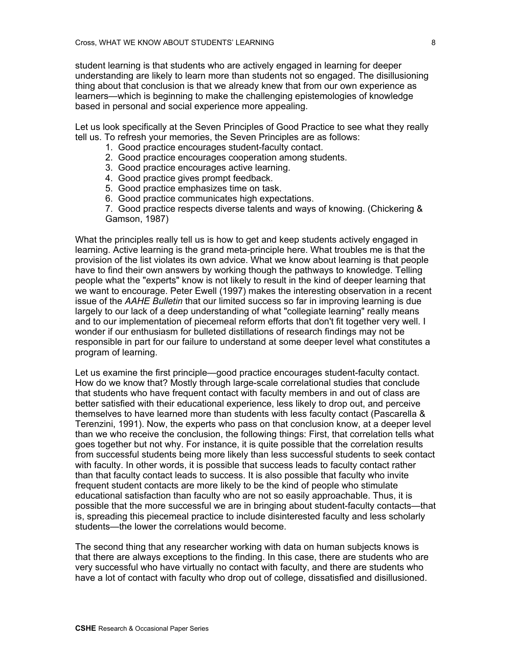student learning is that students who are actively engaged in learning for deeper understanding are likely to learn more than students not so engaged. The disillusioning thing about that conclusion is that we already knew that from our own experience as learners—which is beginning to make the challenging epistemologies of knowledge based in personal and social experience more appealing.

Let us look specifically at the Seven Principles of Good Practice to see what they really tell us. To refresh your memories, the Seven Principles are as follows:

- 1. Good practice encourages student-faculty contact.
- 2. Good practice encourages cooperation among students.
- 3. Good practice encourages active learning.
- 4. Good practice gives prompt feedback.
- 5. Good practice emphasizes time on task.
- 6. Good practice communicates high expectations.

7. Good practice respects diverse talents and ways of knowing. (Chickering & Gamson, 1987)

What the principles really tell us is how to get and keep students actively engaged in learning. Active learning is the grand meta-principle here. What troubles me is that the provision of the list violates its own advice. What we know about learning is that people have to find their own answers by working though the pathways to knowledge. Telling people what the "experts" know is not likely to result in the kind of deeper learning that we want to encourage. Peter Ewell (1997) makes the interesting observation in a recent issue of the *AAHE Bulletin* that our limited success so far in improving learning is due largely to our lack of a deep understanding of what "collegiate learning" really means and to our implementation of piecemeal reform efforts that don't fit together very well. I wonder if our enthusiasm for bulleted distillations of research findings may not be responsible in part for our failure to understand at some deeper level what constitutes a program of learning.

Let us examine the first principle—good practice encourages student-faculty contact. How do we know that? Mostly through large-scale correlational studies that conclude that students who have frequent contact with faculty members in and out of class are better satisfied with their educational experience, less likely to drop out, and perceive themselves to have learned more than students with less faculty contact (Pascarella & Terenzini, 1991). Now, the experts who pass on that conclusion know, at a deeper level than we who receive the conclusion, the following things: First, that correlation tells what goes together but not why. For instance, it is quite possible that the correlation results from successful students being more likely than less successful students to seek contact with faculty. In other words, it is possible that success leads to faculty contact rather than that faculty contact leads to success. It is also possible that faculty who invite frequent student contacts are more likely to be the kind of people who stimulate educational satisfaction than faculty who are not so easily approachable. Thus, it is possible that the more successful we are in bringing about student-faculty contacts—that is, spreading this piecemeal practice to include disinterested faculty and less scholarly students—the lower the correlations would become.

The second thing that any researcher working with data on human subjects knows is that there are always exceptions to the finding. In this case, there are students who are very successful who have virtually no contact with faculty, and there are students who have a lot of contact with faculty who drop out of college, dissatisfied and disillusioned.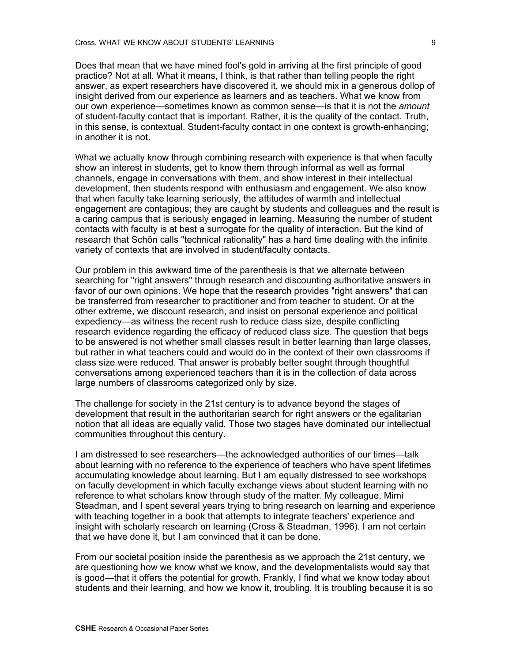Does that mean that we have mined fool's gold in arriving at the first principle of good practice? Not at all. What it means, I think, is that rather than telling people the right answer, as expert researchers have discovered it, we should mix in a generous dollop of insight derived from our experience as learners and as teachers. What we know from our own experience—sometimes known as common sense—is that it is not the *amount* of student-faculty contact that is important. Rather, it is the quality of the contact. Truth, in this sense, is contextual. Student-faculty contact in one context is growth-enhancing; in another it is not.

What we actually know through combining research with experience is that when faculty show an interest in students, get to know them through informal as well as formal channels, engage in conversations with them, and show interest in their intellectual development, then students respond with enthusiasm and engagement. We also know that when faculty take learning seriously, the attitudes of warmth and intellectual engagement are contagious; they are caught by students and colleagues and the result is a caring campus that is seriously engaged in learning. Measuring the number of student contacts with faculty is at best a surrogate for the quality of interaction. But the kind of research that Schön calls "technical rationality" has a hard time dealing with the infinite variety of contexts that are involved in student/faculty contacts.

Our problem in this awkward time of the parenthesis is that we alternate between searching for "right answers" through research and discounting authoritative answers in favor of our own opinions. We hope that the research provides "right answers" that can be transferred from researcher to practitioner and from teacher to student. Or at the other extreme, we discount research, and insist on personal experience and political expediency—as witness the recent rush to reduce class size, despite conflicting research evidence regarding the efficacy of reduced class size. The question that begs to be answered is not whether small classes result in better learning than large classes, but rather in what teachers could and would do in the context of their own classrooms if class size were reduced. That answer is probably better sought through thoughtful conversations among experienced teachers than it is in the collection of data across large numbers of classrooms categorized only by size.

The challenge for society in the 21st century is to advance beyond the stages of development that result in the authoritarian search for right answers or the egalitarian notion that all ideas are equally valid. Those two stages have dominated our intellectual communities throughout this century.

I am distressed to see researchers—the acknowledged authorities of our times—talk about learning with no reference to the experience of teachers who have spent lifetimes accumulating knowledge about learning. But I am equally distressed to see workshops on faculty development in which faculty exchange views about student learning with no reference to what scholars know through study of the matter. My colleague, Mimi Steadman, and I spent several years trying to bring research on learning and experience with teaching together in a book that attempts to integrate teachers' experience and insight with scholarly research on learning (Cross & Steadman, 1996). I am not certain that we have done it, but I am convinced that it can be done.

From our societal position inside the parenthesis as we approach the 21st century, we are questioning how we know what we know, and the developmentalists would say that is good—that it offers the potential for growth. Frankly, I find what we know today about students and their learning, and how we know it, troubling. It is troubling because it is so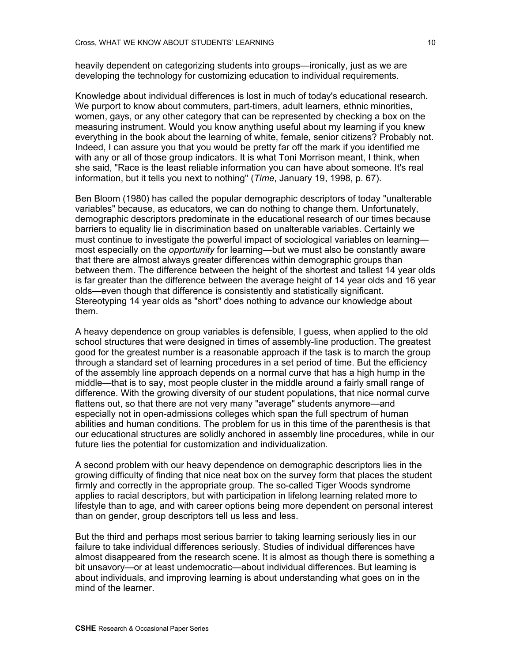heavily dependent on categorizing students into groups—ironically, just as we are developing the technology for customizing education to individual requirements.

Knowledge about individual differences is lost in much of today's educational research. We purport to know about commuters, part-timers, adult learners, ethnic minorities, women, gays, or any other category that can be represented by checking a box on the measuring instrument. Would you know anything useful about my learning if you knew everything in the book about the learning of white, female, senior citizens? Probably not. Indeed, I can assure you that you would be pretty far off the mark if you identified me with any or all of those group indicators. It is what Toni Morrison meant, I think, when she said, "Race is the least reliable information you can have about someone. It's real information, but it tells you next to nothing" (*Time*, January 19, 1998, p. 67).

Ben Bloom (1980) has called the popular demographic descriptors of today "unalterable variables" because, as educators, we can do nothing to change them. Unfortunately, demographic descriptors predominate in the educational research of our times because barriers to equality lie in discrimination based on unalterable variables. Certainly we must continue to investigate the powerful impact of sociological variables on learning most especially on the *opportunity* for learning—but we must also be constantly aware that there are almost always greater differences within demographic groups than between them. The difference between the height of the shortest and tallest 14 year olds is far greater than the difference between the average height of 14 year olds and 16 year olds—even though that difference is consistently and statistically significant. Stereotyping 14 year olds as "short" does nothing to advance our knowledge about them.

A heavy dependence on group variables is defensible, I guess, when applied to the old school structures that were designed in times of assembly-line production. The greatest good for the greatest number is a reasonable approach if the task is to march the group through a standard set of learning procedures in a set period of time. But the efficiency of the assembly line approach depends on a normal curve that has a high hump in the middle—that is to say, most people cluster in the middle around a fairly small range of difference. With the growing diversity of our student populations, that nice normal curve flattens out, so that there are not very many "average" students anymore—and especially not in open-admissions colleges which span the full spectrum of human abilities and human conditions. The problem for us in this time of the parenthesis is that our educational structures are solidly anchored in assembly line procedures, while in our future lies the potential for customization and individualization.

A second problem with our heavy dependence on demographic descriptors lies in the growing difficulty of finding that nice neat box on the survey form that places the student firmly and correctly in the appropriate group. The so-called Tiger Woods syndrome applies to racial descriptors, but with participation in lifelong learning related more to lifestyle than to age, and with career options being more dependent on personal interest than on gender, group descriptors tell us less and less.

But the third and perhaps most serious barrier to taking learning seriously lies in our failure to take individual differences seriously. Studies of individual differences have almost disappeared from the research scene. It is almost as though there is something a bit unsavory—or at least undemocratic—about individual differences. But learning is about individuals, and improving learning is about understanding what goes on in the mind of the learner.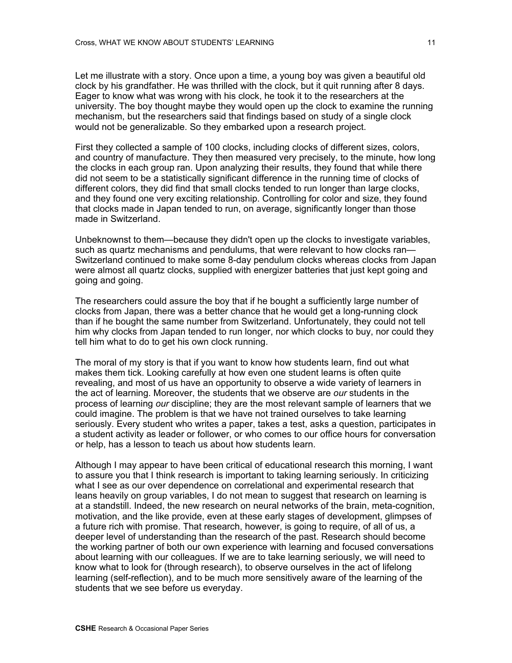Let me illustrate with a story. Once upon a time, a young boy was given a beautiful old clock by his grandfather. He was thrilled with the clock, but it quit running after 8 days. Eager to know what was wrong with his clock, he took it to the researchers at the university. The boy thought maybe they would open up the clock to examine the running mechanism, but the researchers said that findings based on study of a single clock would not be generalizable. So they embarked upon a research project.

First they collected a sample of 100 clocks, including clocks of different sizes, colors, and country of manufacture. They then measured very precisely, to the minute, how long the clocks in each group ran. Upon analyzing their results, they found that while there did not seem to be a statistically significant difference in the running time of clocks of different colors, they did find that small clocks tended to run longer than large clocks, and they found one very exciting relationship. Controlling for color and size, they found that clocks made in Japan tended to run, on average, significantly longer than those made in Switzerland.

Unbeknownst to them—because they didn't open up the clocks to investigate variables, such as quartz mechanisms and pendulums, that were relevant to how clocks ran— Switzerland continued to make some 8-day pendulum clocks whereas clocks from Japan were almost all quartz clocks, supplied with energizer batteries that just kept going and going and going.

The researchers could assure the boy that if he bought a sufficiently large number of clocks from Japan, there was a better chance that he would get a long-running clock than if he bought the same number from Switzerland. Unfortunately, they could not tell him why clocks from Japan tended to run longer, nor which clocks to buy, nor could they tell him what to do to get his own clock running.

The moral of my story is that if you want to know how students learn, find out what makes them tick. Looking carefully at how even one student learns is often quite revealing, and most of us have an opportunity to observe a wide variety of learners in the act of learning. Moreover, the students that we observe are *our* students in the process of learning *our* discipline; they are the most relevant sample of learners that we could imagine. The problem is that we have not trained ourselves to take learning seriously. Every student who writes a paper, takes a test, asks a question, participates in a student activity as leader or follower, or who comes to our office hours for conversation or help, has a lesson to teach us about how students learn.

Although I may appear to have been critical of educational research this morning, I want to assure you that I think research is important to taking learning seriously. In criticizing what I see as our over dependence on correlational and experimental research that leans heavily on group variables, I do not mean to suggest that research on learning is at a standstill. Indeed, the new research on neural networks of the brain, meta-cognition, motivation, and the like provide, even at these early stages of development, glimpses of a future rich with promise. That research, however, is going to require, of all of us, a deeper level of understanding than the research of the past. Research should become the working partner of both our own experience with learning and focused conversations about learning with our colleagues. If we are to take learning seriously, we will need to know what to look for (through research), to observe ourselves in the act of lifelong learning (self-reflection), and to be much more sensitively aware of the learning of the students that we see before us everyday.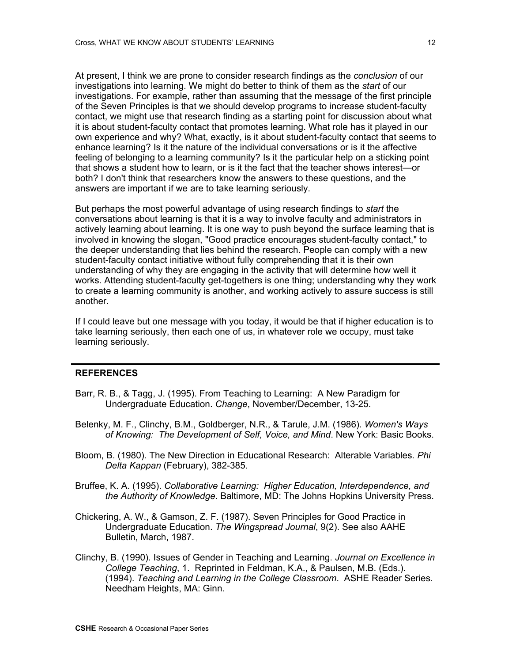At present, I think we are prone to consider research findings as the *conclusion* of our investigations into learning. We might do better to think of them as the *start* of our investigations. For example, rather than assuming that the message of the first principle of the Seven Principles is that we should develop programs to increase student-faculty contact, we might use that research finding as a starting point for discussion about what it is about student-faculty contact that promotes learning. What role has it played in our own experience and why? What, exactly, is it about student-faculty contact that seems to enhance learning? Is it the nature of the individual conversations or is it the affective feeling of belonging to a learning community? Is it the particular help on a sticking point that shows a student how to learn, or is it the fact that the teacher shows interest—or both? I don't think that researchers know the answers to these questions, and the answers are important if we are to take learning seriously.

But perhaps the most powerful advantage of using research findings to *start* the conversations about learning is that it is a way to involve faculty and administrators in actively learning about learning. It is one way to push beyond the surface learning that is involved in knowing the slogan, "Good practice encourages student-faculty contact," to the deeper understanding that lies behind the research. People can comply with a new student-faculty contact initiative without fully comprehending that it is their own understanding of why they are engaging in the activity that will determine how well it works. Attending student-faculty get-togethers is one thing; understanding why they work to create a learning community is another, and working actively to assure success is still another.

If I could leave but one message with you today, it would be that if higher education is to take learning seriously, then each one of us, in whatever role we occupy, must take learning seriously.

## **REFERENCES**

- Barr, R. B., & Tagg, J. (1995). From Teaching to Learning: A New Paradigm for Undergraduate Education. *Change*, November/December, 13-25.
- Belenky, M. F., Clinchy, B.M., Goldberger, N.R., & Tarule, J.M. (1986). *Women's Ways of Knowing: The Development of Self, Voice, and Mind*. New York: Basic Books.
- Bloom, B. (1980). The New Direction in Educational Research: Alterable Variables. *Phi Delta Kappan* (February), 382-385.
- Bruffee, K. A. (1995). *Collaborative Learning: Higher Education, Interdependence, and the Authority of Knowledge*. Baltimore, MD: The Johns Hopkins University Press.
- Chickering, A. W., & Gamson, Z. F. (1987). Seven Principles for Good Practice in Undergraduate Education. *The Wingspread Journal*, 9(2). See also AAHE Bulletin, March, 1987.
- Clinchy, B. (1990). Issues of Gender in Teaching and Learning. *Journal on Excellence in College Teaching*, 1. Reprinted in Feldman, K.A., & Paulsen, M.B. (Eds.). (1994). *Teaching and Learning in the College Classroom*. ASHE Reader Series. Needham Heights, MA: Ginn.